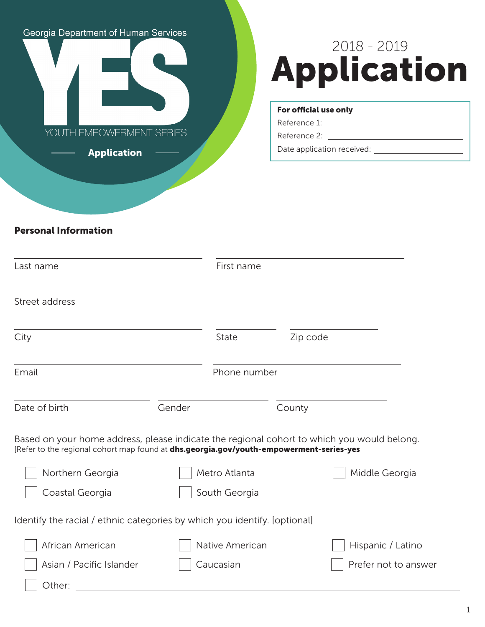# Georgia Department of Human Services

YOUTH EMPOWERMENT SERIES

Application

# 2018 - 2019 Application

#### For official use only

Reference 1: Reference 2:

Date application received:

# Personal Information

| Last name                                                                                                                                                                             |               | First name      |          |                      |
|---------------------------------------------------------------------------------------------------------------------------------------------------------------------------------------|---------------|-----------------|----------|----------------------|
| Street address                                                                                                                                                                        |               |                 |          |                      |
| City                                                                                                                                                                                  |               | <b>State</b>    | Zip code |                      |
| Email                                                                                                                                                                                 |               | Phone number    |          |                      |
| Date of birth                                                                                                                                                                         | Gender        |                 | County   |                      |
| Based on your home address, please indicate the regional cohort to which you would belong.<br>[Refer to the regional cohort map found at dhs.georgia.gov/youth-empowerment-series-yes |               |                 |          |                      |
| Northern Georgia                                                                                                                                                                      | Metro Atlanta |                 |          | Middle Georgia       |
| Coastal Georgia                                                                                                                                                                       | South Georgia |                 |          |                      |
| Identify the racial / ethnic categories by which you identify. [optional]                                                                                                             |               |                 |          |                      |
| African American                                                                                                                                                                      |               | Native American |          | Hispanic / Latino    |
| Asian / Pacific Islander                                                                                                                                                              |               | Caucasian       |          | Prefer not to answer |
| Other:                                                                                                                                                                                |               |                 |          |                      |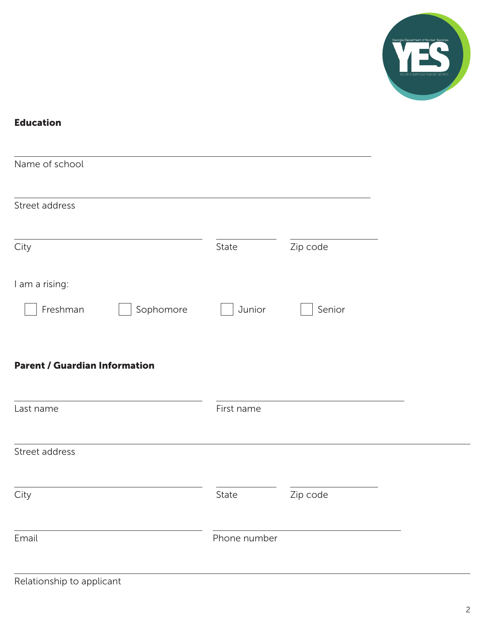

# Education

| Name of school                       |              |          |  |
|--------------------------------------|--------------|----------|--|
| Street address                       |              |          |  |
| City                                 | State        | Zip code |  |
| I am a rising:                       |              |          |  |
| Freshman<br>Sophomore                | Junior       | Senior   |  |
|                                      |              |          |  |
| <b>Parent / Guardian Information</b> |              |          |  |
| Last name                            | First name   |          |  |
| Street address                       |              |          |  |
| City                                 | State        | Zip code |  |
| Email                                | Phone number |          |  |
|                                      |              |          |  |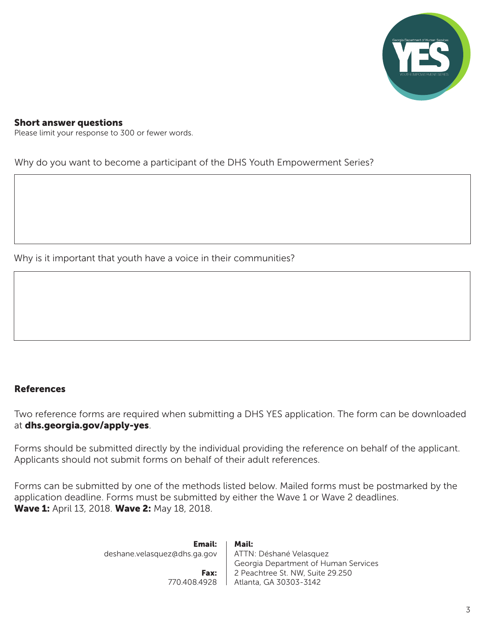

#### Short answer questions

Please limit your response to 300 or fewer words.

Why do you want to become a participant of the DHS Youth Empowerment Series?

Why is it important that youth have a voice in their communities?

#### References

Two reference forms are required when submitting a DHS YES application. The form can be downloaded at dhs.georgia.gov/apply-yes.

Forms should be submitted directly by the individual providing the reference on behalf of the applicant. Applicants should not submit forms on behalf of their adult references.

Forms can be submitted by one of the methods listed below. Mailed forms must be postmarked by the application deadline. Forms must be submitted by either the Wave 1 or Wave 2 deadlines. Wave 1: April 13, 2018. Wave 2: May 18, 2018.

| Email:<br>deshane.velasquez@dhs.ga.gov | Mail:<br>ATTN: Déshané Velasquez     |
|----------------------------------------|--------------------------------------|
|                                        | Georgia Department of Human Services |
| Fax:                                   | 2 Peachtree St. NW, Suite 29.250     |
| 770.408.4928                           | Atlanta, GA 30303-3142               |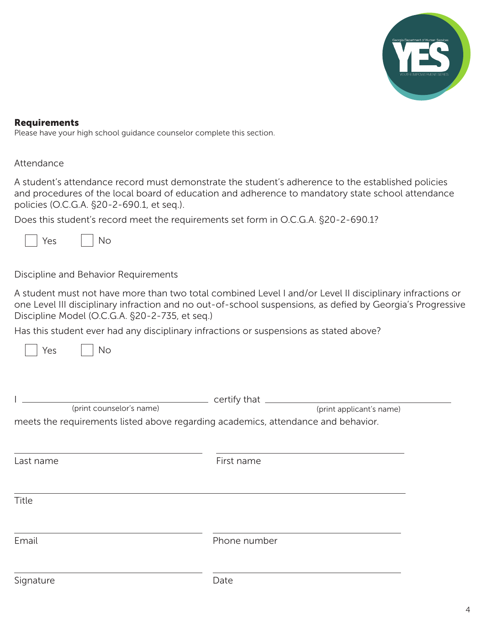

#### Requirements

Please have your high school guidance counselor complete this section.

#### Attendance

A student's attendance record must demonstrate the student's adherence to the established policies and procedures of the local board of education and adherence to mandatory state school attendance policies (O.C.G.A. §20-2-690.1, et seq.).

Does this student's record meet the requirements set form in O.C.G.A. §20-2-690.1?



Yes

Discipline and Behavior Requirements

No

A student must not have more than two total combined Level I and/or Level II disciplinary infractions or one Level III disciplinary infraction and no out-of-school suspensions, as defied by Georgia's Progressive Discipline Model (O.C.G.A. §20-2-735, et seq.)

Has this student ever had any disciplinary infractions or suspensions as stated above?

| (print counselor's name)<br>meets the requirements listed above regarding academics, attendance and behavior. | (print applicant's name) |
|---------------------------------------------------------------------------------------------------------------|--------------------------|
| Last name                                                                                                     | First name               |
| <b>Title</b>                                                                                                  |                          |
| Email                                                                                                         | Phone number             |
| Signature                                                                                                     | Date                     |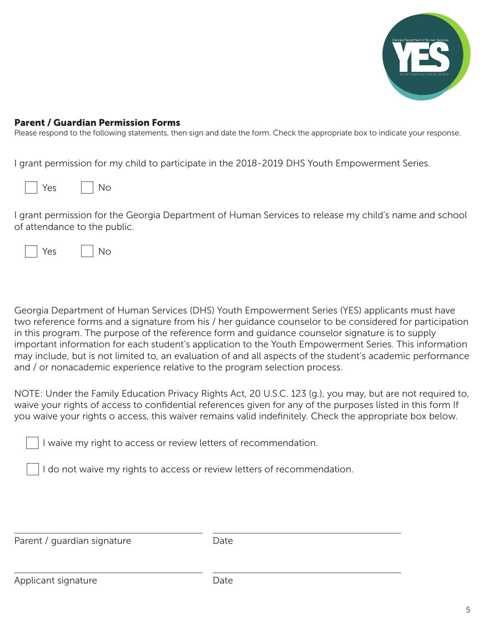

#### Parent / Guardian Permission Forms

Please respond to the following statements, then sign and date the form. Check the appropriate box to indicate your response.

I grant permission for my child to participate in the 2018-2019 DHS Youth Empowerment Series.

| Vac | Νo |
|-----|----|
|-----|----|

I grant permission for the Georgia Department of Human Services to release my child's name and school of attendance to the public.

| Y⊖< | N۵ |
|-----|----|
|-----|----|

Georgia Department of Human Services (DHS) Youth Empowerment Series (YES) applicants must have two reference forms and a signature from his / her guidance counselor to be considered for participation in this program. The purpose of the reference form and guidance counselor signature is to supply important information for each student's application to the Youth Empowerment Series. This information may include, but is not limited to, an evaluation of and all aspects of the student's academic performance and / or nonacademic experience relative to the program selection process.

NOTE: Under the Family Education Privacy Rights Act, 20 U.S.C. 123 (g.), you may, but are not required to, waive your rights of access to confidential references given for any of the purposes listed in this form If you waive your rights o access, this waiver remains valid indefinitely. Check the appropriate box below.

I waive my right to access or review letters of recommendation.

I do not waive my rights to access or review letters of recommendation.

| Parent / guardian signature | Date |  |
|-----------------------------|------|--|
|                             |      |  |
|                             |      |  |
| Applicant signature         | Date |  |